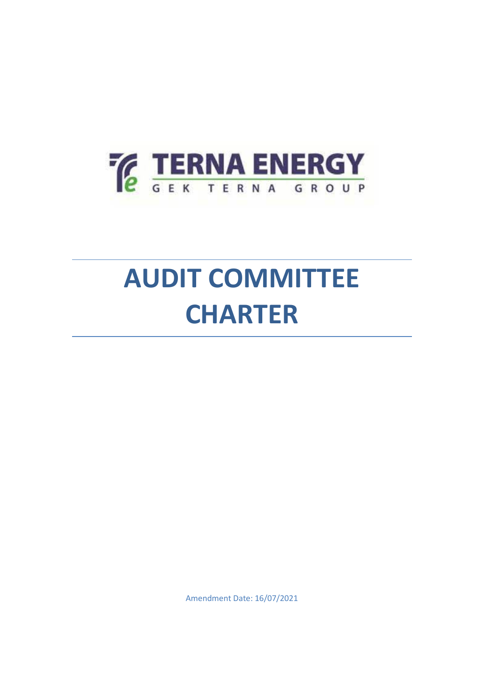

# **AUDIT COMMITTEE CHARTER**

Amendment Date: 16/07/2021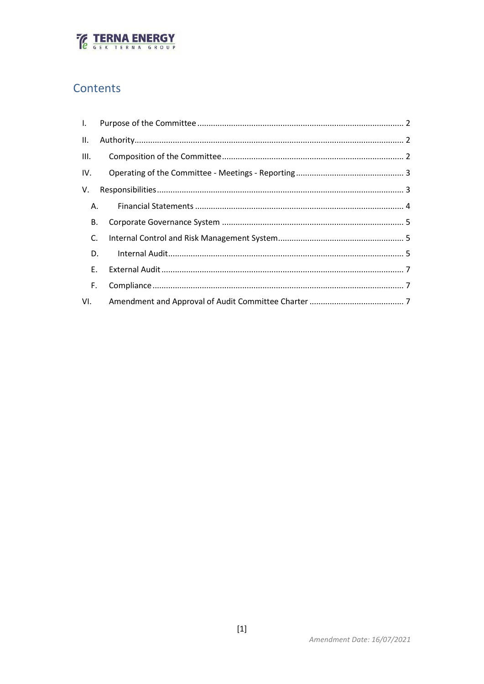

## Contents

| II.  |  |
|------|--|
| III. |  |
| IV.  |  |
| V.   |  |
| Α.   |  |
| В.   |  |
| C.   |  |
| D.   |  |
| E.   |  |
| F.   |  |
| VI.  |  |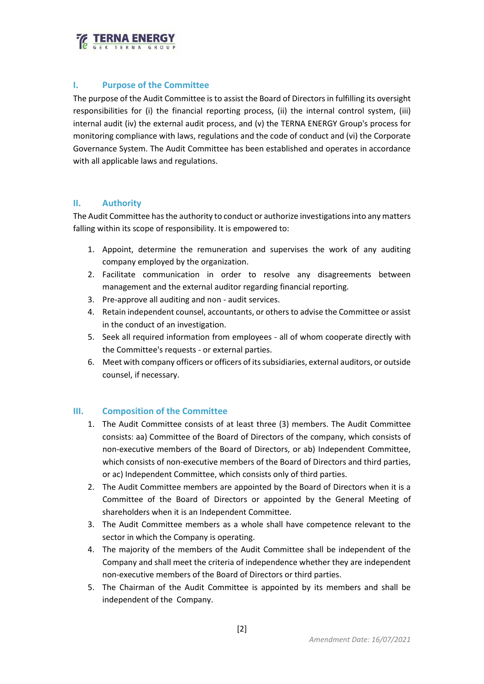

#### <span id="page-2-0"></span>**I. Purpose of the Committee**

The purpose of the Audit Committee is to assist the Board of Directors in fulfilling its oversight responsibilities for (i) the financial reporting process, (ii) the internal control system, (iii) internal audit (iv) the external audit process, and (v) the TERNA ENERGY Group's process for monitoring compliance with laws, regulations and the code of conduct and (vi) the Corporate Governance System. The Audit Committee has been established and operates in accordance with all applicable laws and regulations.

#### <span id="page-2-1"></span>**II. Authority**

The Audit Committee hasthe authority to conduct or authorize investigations into any matters falling within its scope of responsibility. It is empowered to:

- 1. Appoint, determine the remuneration and supervises the work of any auditing company employed by the organization.
- 2. Facilitate communication in order to resolve any disagreements between management and the external auditor regarding financial reporting.
- 3. Pre-approve all auditing and non audit services.
- 4. Retain independent counsel, accountants, or others to advise the Committee or assist in the conduct of an investigation.
- 5. Seek all required information from employees all of whom cooperate directly with the Committee's requests - or external parties.
- 6. Meet with company officers or officers of its subsidiaries, external auditors, or outside counsel, if necessary.

#### <span id="page-2-2"></span>**III. Composition of the Committee**

- 1. The Audit Committee consists of at least three (3) members. The Audit Committee consists: aa) Committee of the Board of Directors of the company, which consists of non-executive members of the Board of Directors, or ab) Independent Committee, which consists of non-executive members of the Board of Directors and third parties, or ac) Independent Committee, which consists only of third parties.
- 2. The Audit Committee members are appointed by the Board of Directors when it is a Committee of the Board of Directors or appointed by the General Meeting of shareholders when it is an Independent Committee.
- 3. The Audit Committee members as a whole shall have competence relevant to the sector in which the Company is operating.
- 4. The majority of the members of the Audit Committee shall be independent of the Company and shall meet the criteria of independence whether they are independent non-executive members of the Board of Directors or third parties.
- 5. The Chairman of the Audit Committee is appointed by its members and shall be independent of the Company.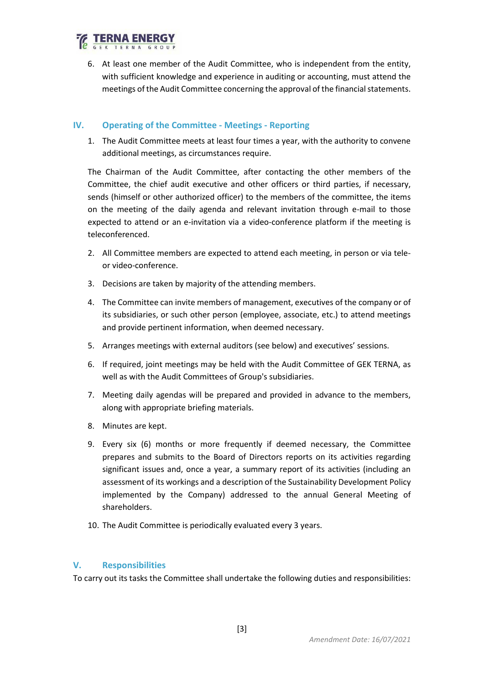

6. At least one member of the Audit Committee, who is independent from the entity, with sufficient knowledge and experience in auditing or accounting, must attend the meetings of the Audit Committee concerning the approval of the financial statements.

#### <span id="page-3-0"></span>**IV. Operating of the Committee - Meetings - Reporting**

1. The Audit Committee meets at least four times a year, with the authority to convene additional meetings, as circumstances require.

The Chairman of the Audit Committee, after contacting the other members of the Committee, the chief audit executive and other officers or third parties, if necessary, sends (himself or other authorized officer) to the members of the committee, the items on the meeting of the daily agenda and relevant invitation through e-mail to those expected to attend or an e-invitation via a video-conference platform if the meeting is teleconferenced.

- 2. All Committee members are expected to attend each meeting, in person or via teleor video-conference.
- 3. Decisions are taken by majority of the attending members.
- 4. The Committee can invite members of management, executives of the company or of its subsidiaries, or such other person (employee, associate, etc.) to attend meetings and provide pertinent information, when deemed necessary.
- 5. Arranges meetings with external auditors (see below) and executives' sessions.
- 6. If required, joint meetings may be held with the Audit Committee of GEK TERNA, as well as with the Audit Committees of Group's subsidiaries.
- 7. Meeting daily agendas will be prepared and provided in advance to the members, along with appropriate briefing materials.
- 8. Minutes are kept.
- 9. Every six (6) months or more frequently if deemed necessary, the Committee prepares and submits to the Board of Directors reports on its activities regarding significant issues and, once a year, a summary report of its activities (including an assessment of its workings and a description of the Sustainability Development Policy implemented by the Company) addressed to the annual General Meeting of shareholders.
- 10. The Audit Committee is periodically evaluated every 3 years.

#### <span id="page-3-1"></span>**V. Responsibilities**

To carry out its tasks the Committee shall undertake the following duties and responsibilities: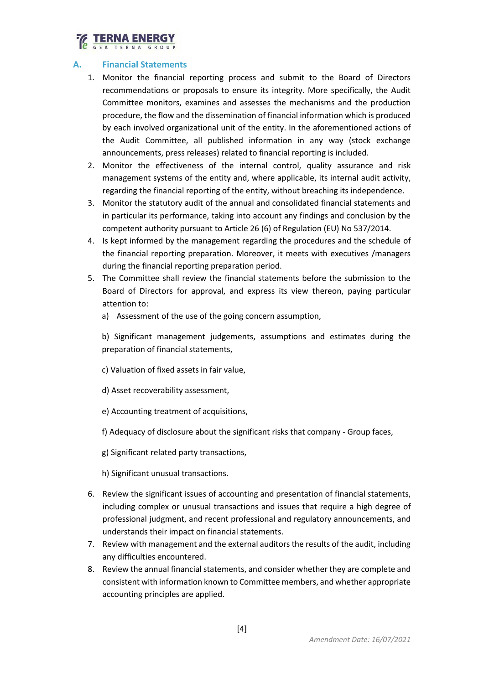### <span id="page-4-0"></span>**A. Financial Statements**

- 1. Monitor the financial reporting process and submit to the Board of Directors recommendations or proposals to ensure its integrity. More specifically, the Audit Committee monitors, examines and assesses the mechanisms and the production procedure, the flow and the dissemination of financial information which is produced by each involved organizational unit of the entity. In the aforementioned actions of the Audit Committee, all published information in any way (stock exchange announcements, press releases) related to financial reporting is included.
- 2. Monitor the effectiveness of the internal control, quality assurance and risk management systems of the entity and, where applicable, its internal audit activity, regarding the financial reporting of the entity, without breaching its independence.
- 3. Monitor the statutory audit of the annual and consolidated financial statements and in particular its performance, taking into account any findings and conclusion by the competent authority pursuant to Article 26 (6) of Regulation (EU) No 537/2014.
- 4. Is kept informed by the management regarding the procedures and the schedule of the financial reporting preparation. Moreover, it meets with executives /managers during the financial reporting preparation period.
- 5. The Committee shall review the financial statements before the submission to the Board of Directors for approval, and express its view thereon, paying particular attention to:
	- a) Assessment of the use of the going concern assumption,

b) Significant management judgements, assumptions and estimates during the preparation of financial statements,

- c) Valuation of fixed assets in fair value,
- d) Asset recoverability assessment,
- e) Accounting treatment of acquisitions,
- f) Adequacy of disclosure about the significant risks that company Group faces,
- g) Significant related party transactions,
- h) Significant unusual transactions.
- 6. Review the significant issues of accounting and presentation of financial statements, including complex or unusual transactions and issues that require a high degree of professional judgment, and recent professional and regulatory announcements, and understands their impact on financial statements.
- 7. Review with management and the external auditors the results of the audit, including any difficulties encountered.
- 8. Review the annual financial statements, and consider whether they are complete and consistent with information known to Committee members, and whether appropriate accounting principles are applied.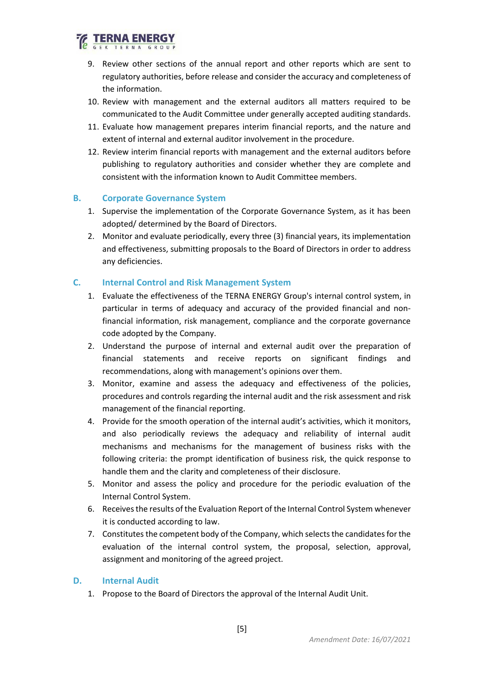

- 9. Review other sections of the annual report and other reports which are sent to regulatory authorities, before release and consider the accuracy and completeness of the information.
- 10. Review with management and the external auditors all matters required to be communicated to the Audit Committee under generally accepted auditing standards.
- 11. Evaluate how management prepares interim financial reports, and the nature and extent of internal and external auditor involvement in the procedure.
- 12. Review interim financial reports with management and the external auditors before publishing to regulatory authorities and consider whether they are complete and consistent with the information known to Audit Committee members.

#### <span id="page-5-0"></span>**B. Corporate Governance System**

- 1. Supervise the implementation of the Corporate Governance System, as it has been adopted/ determined by the Board of Directors.
- 2. Monitor and evaluate periodically, every three (3) financial years, its implementation and effectiveness, submitting proposals to the Board of Directors in order to address any deficiencies.

#### <span id="page-5-1"></span>**C. Internal Control and Risk Management System**

- 1. Evaluate the effectiveness of the TERNA ENERGY Group's internal control system, in particular in terms of adequacy and accuracy of the provided financial and nonfinancial information, risk management, compliance and the corporate governance code adopted by the Company.
- 2. Understand the purpose of internal and external audit over the preparation of financial statements and receive reports on significant findings and recommendations, along with management's opinions over them.
- 3. Monitor, examine and assess the adequacy and effectiveness of the policies, procedures and controls regarding the internal audit and the risk assessment and risk management of the financial reporting.
- 4. Provide for the smooth operation of the internal audit's activities, which it monitors, and also periodically reviews the adequacy and reliability of internal audit mechanisms and mechanisms for the management of business risks with the following criteria: the prompt identification of business risk, the quick response to handle them and the clarity and completeness of their disclosure.
- 5. Monitor and assess the policy and procedure for the periodic evaluation of the Internal Control System.
- 6. Receives the results of the Evaluation Report of the Internal Control System whenever it is conducted according to law.
- 7. Constitutes the competent body of the Company, which selects the candidates for the evaluation of the internal control system, the proposal, selection, approval, assignment and monitoring of the agreed project.

#### <span id="page-5-2"></span>**D. Internal Audit**

1. Propose to the Board of Directors the approval of the Internal Audit Unit.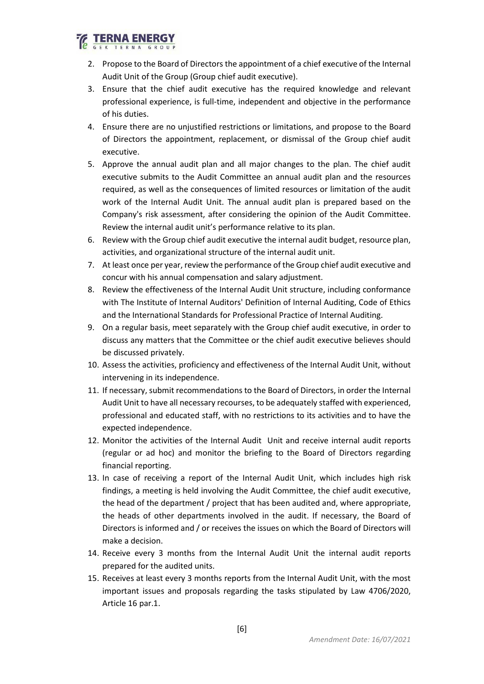

- 2. Propose to the Board of Directors the appointment of a chief executive of the Internal Audit Unit of the Group (Group chief audit executive).
- 3. Ensure that the chief audit executive has the required knowledge and relevant professional experience, is full-time, independent and objective in the performance of his duties.
- 4. Ensure there are no unjustified restrictions or limitations, and propose to the Board of Directors the appointment, replacement, or dismissal of the Group chief audit executive.
- 5. Approve the annual audit plan and all major changes to the plan. The chief audit executive submits to the Audit Committee an annual audit plan and the resources required, as well as the consequences of limited resources or limitation of the audit work of the Internal Audit Unit. The annual audit plan is prepared based on the Company's risk assessment, after considering the opinion of the Audit Committee. Review the internal audit unit's performance relative to its plan.
- 6. Review with the Group chief audit executive the internal audit budget, resource plan, activities, and organizational structure of the internal audit unit.
- 7. At least once per year, review the performance of the Group chief audit executive and concur with his annual compensation and salary adjustment.
- 8. Review the effectiveness of the Internal Audit Unit structure, including conformance with The Institute of Internal Auditors' Definition of Internal Auditing, Code of Ethics and the International Standards for Professional Practice of Internal Auditing.
- 9. On a regular basis, meet separately with the Group chief audit executive, in order to discuss any matters that the Committee or the chief audit executive believes should be discussed privately.
- 10. Assess the activities, proficiency and effectiveness of the Internal Audit Unit, without intervening in its independence.
- 11. If necessary, submit recommendations to the Board of Directors, in order the Internal Audit Unit to have all necessary recourses, to be adequately staffed with experienced, professional and educated staff, with no restrictions to its activities and to have the expected independence.
- 12. Monitor the activities of the Internal Audit Unit and receive internal audit reports (regular or ad hoc) and monitor the briefing to the Board of Directors regarding financial reporting.
- 13. In case of receiving a report of the Internal Audit Unit, which includes high risk findings, a meeting is held involving the Audit Committee, the chief audit executive, the head of the department / project that has been audited and, where appropriate, the heads of other departments involved in the audit. If necessary, the Board of Directors is informed and / or receives the issues on which the Board of Directors will make a decision.
- 14. Receive every 3 months from the Internal Audit Unit the internal audit reports prepared for the audited units.
- 15. Receives at least every 3 months reports from the Internal Audit Unit, with the most important issues and proposals regarding the tasks stipulated by Law 4706/2020, Article 16 par.1.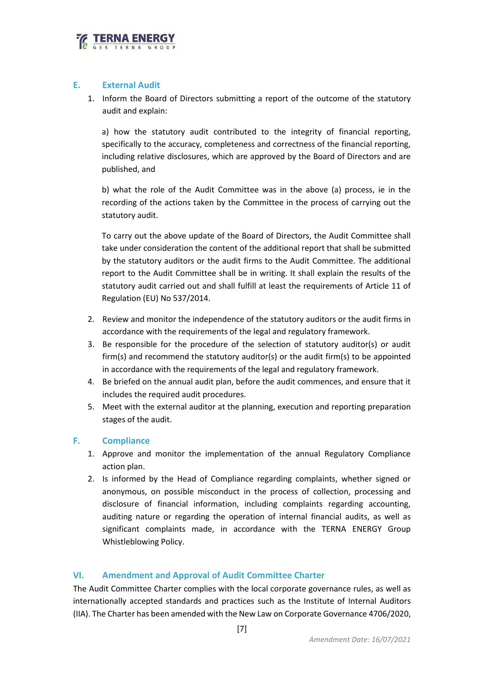

#### <span id="page-7-0"></span>**E. External Audit**

1. Inform the Board of Directors submitting a report of the outcome of the statutory audit and explain:

a) how the statutory audit contributed to the integrity of financial reporting, specifically to the accuracy, completeness and correctness of the financial reporting, including relative disclosures, which are approved by the Board of Directors and are published, and

b) what the role of the Audit Committee was in the above (a) process, ie in the recording of the actions taken by the Committee in the process of carrying out the statutory audit.

To carry out the above update of the Board of Directors, the Audit Committee shall take under consideration the content of the additional report that shall be submitted by the statutory auditors or the audit firms to the Audit Committee. The additional report to the Audit Committee shall be in writing. It shall explain the results of the statutory audit carried out and shall fulfill at least the requirements of Article 11 of Regulation (EU) No 537/2014.

- 2. Review and monitor the independence of the statutory auditors or the audit firms in accordance with the requirements of the legal and regulatory framework.
- 3. Be responsible for the procedure of the selection of statutory auditor(s) or audit firm(s) and recommend the statutory auditor(s) or the audit firm(s) to be appointed in accordance with the requirements of the legal and regulatory framework.
- 4. Be briefed on the annual audit plan, before the audit commences, and ensure that it includes the required audit procedures.
- 5. Meet with the external auditor at the planning, execution and reporting preparation stages of the audit.

#### <span id="page-7-1"></span>**F. Compliance**

- 1. Approve and monitor the implementation of the annual Regulatory Compliance action plan.
- 2. Is informed by the Head of Compliance regarding complaints, whether signed or anonymous, on possible misconduct in the process of collection, processing and disclosure of financial information, including complaints regarding accounting, auditing nature or regarding the operation of internal financial audits, as well as significant complaints made, in accordance with the TERNA ENERGY Group Whistleblowing Policy.

#### <span id="page-7-2"></span>**VI. Amendment and Approval of Audit Committee Charter**

The Audit Committee Charter complies with the local corporate governance rules, as well as internationally accepted standards and practices such as the Institute of Internal Auditors (IIA). The Charter has been amended with the New Law on Corporate Governance 4706/2020,